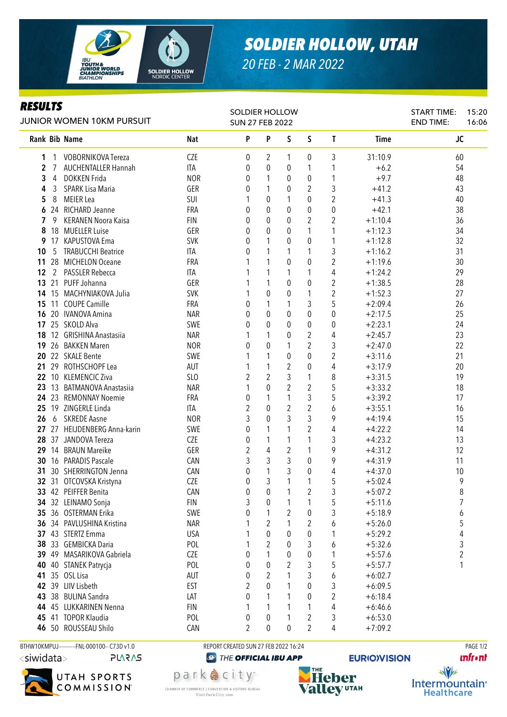

## *SOLDIER HOLLOW, UTAH*

*20 FEB - 2 MAR 2022*

## *RESULTS*

| <b>JUNIOR WOMEN 10KM PURSUIT</b> |    |                                               |                          | <b>SOLDIER HOLLOW</b><br><b>SUN 27 FEB 2022</b> |                  |                |                              |                |                        | <b>START TIME:</b><br><b>END TIME:</b> | 15:20<br>16:06 |
|----------------------------------|----|-----------------------------------------------|--------------------------|-------------------------------------------------|------------------|----------------|------------------------------|----------------|------------------------|----------------------------------------|----------------|
|                                  |    | Rank Bib Name                                 | <b>Nat</b>               | P                                               | P                | S              | S                            | T              | <b>Time</b>            | JC                                     |                |
| 1                                |    | <b>VOBORNIKOVA Tereza</b>                     | <b>CZE</b>               | 0                                               | 2                | 1              | 0                            | 3              | 31:10.9                | 60                                     |                |
| $\mathbf{2}$                     | 7  | <b>AUCHENTALLER Hannah</b>                    | ITA                      | 0                                               | 0                | 0              | 1                            |                | $+6.2$                 | 54                                     |                |
| 3                                | 4  | <b>DOKKEN Frida</b>                           | <b>NOR</b>               | 0                                               | 1                | 0              | 0                            | 1              | $+9.7$                 | 48                                     |                |
| 4                                | 3  | SPARK Lisa Maria                              | GER                      | 0                                               | 1                | 0              | 2                            | 3              | $+41.2$                | 43                                     |                |
| 5                                | 8  | MEIER Lea                                     | SUI                      |                                                 | 0                | 1              | 0                            | $\overline{2}$ | $+41.3$                | 40                                     |                |
| 6                                |    | 24 RICHARD Jeanne                             | FRA                      | 0                                               | 0                | 0              | $\theta$                     | 0              | $+42.1$                | 38                                     |                |
| 7                                | 9  | <b>KERANEN Noora Kaisa</b>                    | <b>FIN</b>               | 0                                               | 0                | 0              | $\overline{2}$               | $\overline{2}$ | $+1:10.4$              | 36                                     |                |
| 8                                |    | 18 MUELLER Luise                              | GER                      | 0                                               | 0                | $\theta$       | 1                            | 1              | $+1:12.3$              | 34                                     |                |
| 9                                |    | 17 KAPUSTOVA Ema                              | <b>SVK</b>               | 0                                               | 1                | 0              | 0                            | 1              | $+1:12.8$              | 32                                     |                |
| 10                               | 5  | <b>TRABUCCHI Beatrice</b>                     | ITA                      | 0                                               | 1                | 1              | 1                            | 3              | $+1:16.2$              | 31                                     |                |
| 11                               |    | 28 MICHELON Oceane                            | FRA                      |                                                 | 1                | 0              | 0                            | $\overline{2}$ | $+1:19.6$              | 30                                     |                |
| 12                               |    | 2 PASSLER Rebecca                             | ITA                      |                                                 | 1                | 1              | 1                            | 4              | $+1:24.2$              | 29                                     |                |
| 13                               |    | 21 PUFF Johanna                               | GER                      |                                                 | 1                | 0              | 0                            | $\overline{2}$ | $+1:38.5$              | 28                                     |                |
| 14                               |    | 15 MACHYNIAKOVA Julia<br><b>COUPE Camille</b> | <b>SVK</b>               |                                                 | 0                | 0              | 1                            | $\overline{2}$ | $+1:52.3$              | 27                                     |                |
| 15                               | 11 |                                               | FRA                      | 0                                               | 1                | 1              | 3                            | 5              | $+2:09.4$              | 26                                     |                |
| 16                               |    | 20 IVANOVA Amina                              | <b>NAR</b>               | 0                                               | 0                | 0              | 0                            | 0              | $+2:17.5$              | 25                                     |                |
| 17<br>18                         |    | 25 SKOLD Alva<br>12 GRISHINA Anastasiia       | SWE                      | 0                                               | 0<br>1           | $\theta$       | 0                            | 0              | $+2:23.1$              | 24                                     |                |
| 19                               |    | 26 BAKKEN Maren                               | <b>NAR</b><br><b>NOR</b> | 0                                               | $\theta$         | $\theta$<br>1  | $\mathbf{2}$<br>$\mathbf{2}$ | 4<br>3         | $+2:45.7$<br>$+2:47.0$ | 23<br>22                               |                |
|                                  |    | 22 SKALE Bente                                | SWE                      |                                                 | 1                |                |                              | $\overline{2}$ |                        | 21                                     |                |
| 20                               |    | 29 ROTHSCHOPF Lea                             |                          |                                                 | 1                | 0              | 0                            |                | $+3:11.6$              | 20                                     |                |
| 21                               |    | 22 10 KLEMENCIC Ziva                          | AUT<br>SLO               | 2                                               | $\overline{2}$   | 2<br>3         | 0<br>1                       | 4<br>8         | $+3:17.9$<br>$+3:31.5$ | 19                                     |                |
|                                  |    | 23 13 BATMANOVA Anastasiia                    | <b>NAR</b>               |                                                 | $\mathbf 0$      | 2              | 2                            | 5              | $+3:33.2$              | 18                                     |                |
|                                  |    | 24 23 REMONNAY Noemie                         | FRA                      | 0                                               | 1                | 1              | 3                            | 5              | $+3:39.2$              | 17                                     |                |
| 25                               |    | 19 ZINGERLE Linda                             | ITA                      | 2                                               | 0                | $\overline{2}$ | $\overline{c}$               | 6              | $+3:55.1$              | 16                                     |                |
| 26                               |    | 6 SKREDE Aasne                                | <b>NOR</b>               | 3                                               | 0                | 3              | 3                            | 9              | $+4:19.4$              | 15                                     |                |
|                                  |    | 27 27 HEIJDENBERG Anna-karin                  | SWE                      | 0                                               | 1                |                | 2                            | 4              | $+4:22.2$              | 14                                     |                |
| 28                               |    | 37 JANDOVA Tereza                             | <b>CZE</b>               | 0                                               | 1                | 1              | 1                            | 3              | $+4:23.2$              | 13                                     |                |
|                                  |    | 29 14 BRAUN Mareike                           | GER                      | 2                                               | 4                | $\overline{2}$ | 1                            | 9              | $+4:31.2$              | 12                                     |                |
| 30                               |    | 16 PARADIS Pascale                            | CAN                      | 3                                               | 3                | 3              | 0                            | 9              | $+4:31.9$              | 11                                     |                |
| 31                               |    | 30 SHERRINGTON Jenna                          | CAN                      | 0                                               | 1                | 3              | 0                            | 4              | $+4:37.0$              | 10                                     |                |
|                                  |    | 32 31 OTCOVSKA Kristyna                       | <b>CZE</b>               | 0                                               | 3                | 1              | $\mathbf{1}$                 | 5              | $+5:02.4$              | 9                                      |                |
|                                  |    | 33 42 PEIFFER Benita                          | CAN                      | 0                                               | $\boldsymbol{0}$ | $\mathbf{1}$   | $\overline{2}$               | 3              | $+5:07.2$              | 8                                      |                |
|                                  |    | 34 32 LEINAMO Sonja                           | <b>FIN</b>               | 3                                               | 0                | 1              | 1                            | 5              | $+5:11.6$              | 7                                      |                |
| 35                               |    | 36 OSTERMAN Erika                             | SWE                      | 0                                               | 1                | 2              | $\pmb{0}$                    | 3              | $+5:18.9$              | 6                                      |                |
| 36                               |    | 34 PAVLUSHINA Kristina                        | <b>NAR</b>               |                                                 | 2                | 1              | $\overline{2}$               | 6              | $+5:26.0$              | 5                                      |                |
|                                  |    | 37 43 STERTZ Emma                             | <b>USA</b>               |                                                 | $\mathbf 0$      | 0              | $\mathbf 0$                  | 1              | $+5:29.2$              | 4                                      |                |
| 38                               |    | 33 GEMBICKA Daria                             | POL                      |                                                 | 2                | 0              | 3                            | 6              | $+5:32.6$              | 3                                      |                |
|                                  |    | 39 49 MASARIKOVA Gabriela                     | <b>CZE</b>               | 0                                               | 1                | 0              | $\mathbf 0$                  | 1              | $+5:57.6$              | 2                                      |                |
| 40                               |    | 40 STANEK Patrycja                            | POL                      | 0                                               | 0                | 2              | $\mathfrak{Z}$               | 5              | $+5:57.7$              | 1                                      |                |
| 41                               |    | 35 OSL Lisa                                   | <b>AUT</b>               | 0                                               | 2                |                | 3                            | 6              | $+6:02.7$              |                                        |                |
| 42                               |    | 39 LIIV Lisbeth                               | <b>EST</b>               | 2                                               | 0                |                | 0                            | 3              | $+6:09.5$              |                                        |                |
| 43                               |    | 38 BULINA Sandra                              | LAT                      | 0                                               | 1                |                | $\pmb{0}$                    | $\overline{c}$ | $+6:18.4$              |                                        |                |
|                                  |    | 44 45 LUKKARINEN Nenna                        | <b>FIN</b>               |                                                 | 1                |                | 1                            | 4              | $+6:46.6$              |                                        |                |
| 45                               |    | 41 TOPOR Klaudia                              | POL                      | 0                                               | 0                |                | $\sqrt{2}$                   | 3              | $+6:53.0$              |                                        |                |
|                                  |    | 46 50 ROUSSEAU Shilo                          | CAN                      | 2                                               | 0                | 0              | $\overline{2}$               | 4              | $+7:09.2$              |                                        |                |
|                                  |    |                                               |                          |                                                 |                  |                |                              |                |                        |                                        |                |

<siwidata> **PLARAS** 



BTHW10KMPUJ----------FNL-000100-- C73D v1.0 REPORT CREATED SUN 27 FEB 2022 16:24 REPORT CREATED SUN 27 FEB 2022 16:24

park 急 city<sup>®</sup>

CHAMBER OF COMMERCE | CONVENTION & VISITORS BUREAU

Visit Park City.com

<sup><sup>2</sup> THE OFFICIAL IBU APP</sup>

THE **Heber Valley UTAH** 

**EURIO)VISION** 



 $\sqrt{v}$ Intermountain<sup>®</sup> **Healthcare**